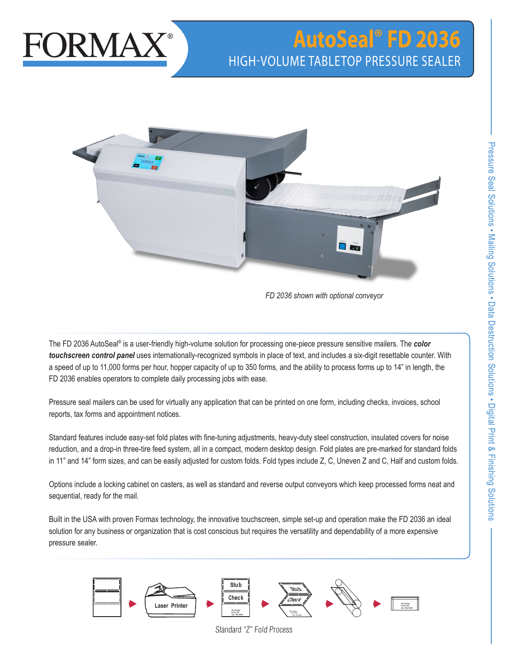

# **AutoSeal® FD 2036** HIGH-VOLUME TABLETOP PRESSURE SEALER



*FD 2036 shown with optional conveyor*

The FD 2036 AutoSeal® is a user-friendly high-volume solution for processing one-piece pressure sensitive mailers. The *color touchscreen control panel* uses internationally-recognized symbols in place of text, and includes a six-digit resettable counter. With a speed of up to 11,000 forms per hour, hopper capacity of up to 350 forms, and the ability to process forms up to 14" in length, the FD 2036 enables operators to complete daily processing jobs with ease.

Pressure seal mailers can be used for virtually any application that can be printed on one form, including checks, invoices, school reports, tax forms and appointment notices.

Standard features include easy-set fold plates with fine-tuning adjustments, heavy-duty steel construction, insulated covers for noise reduction, and a drop-in three-tire feed system, all in a compact, modern desktop design. Fold plates are pre-marked for standard folds in 11" and 14" form sizes, and can be easily adjusted for custom folds. Fold types include Z, C, Uneven Z and C, Half and custom folds.

Options include a locking cabinet on casters, as well as standard and reverse output conveyors which keep processed forms neat and sequential, ready for the mail.

Built in the USA with proven Formax technology, the innovative touchscreen, simple set-up and operation make the FD 2036 an ideal solution for any business or organization that is cost conscious but requires the versatility and dependability of a more expensive pressure sealer.



Standard "Z" Fold Process

**PO Box 000 Here, USA 00000**